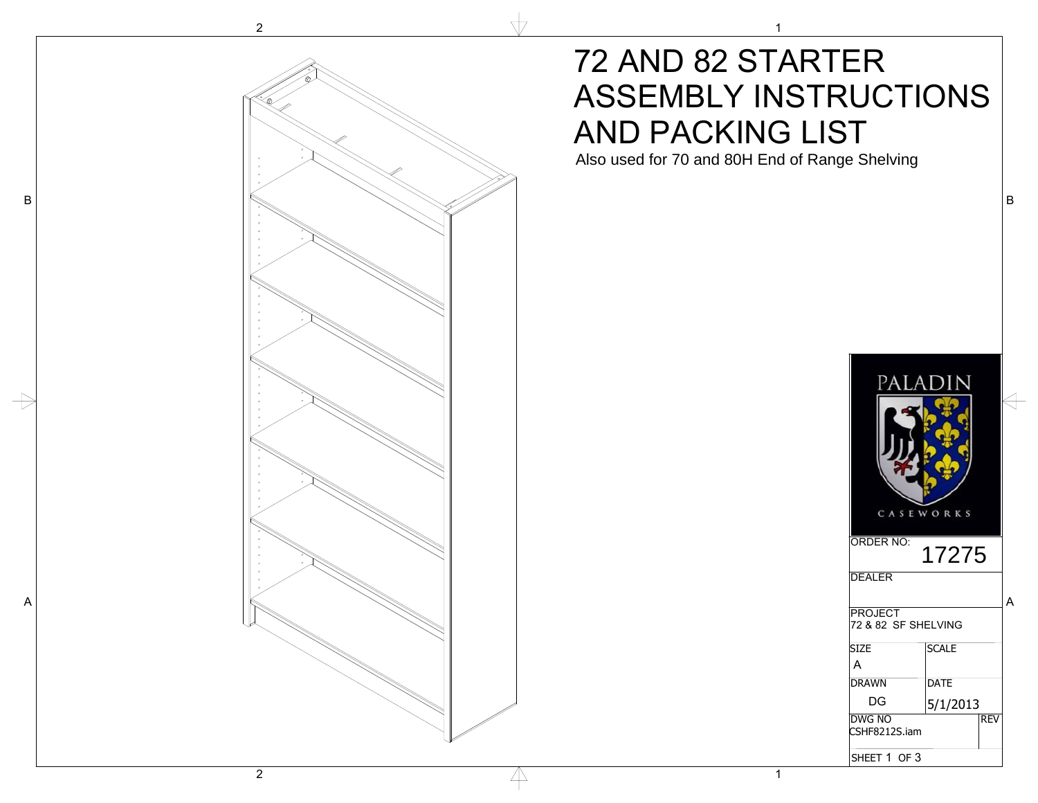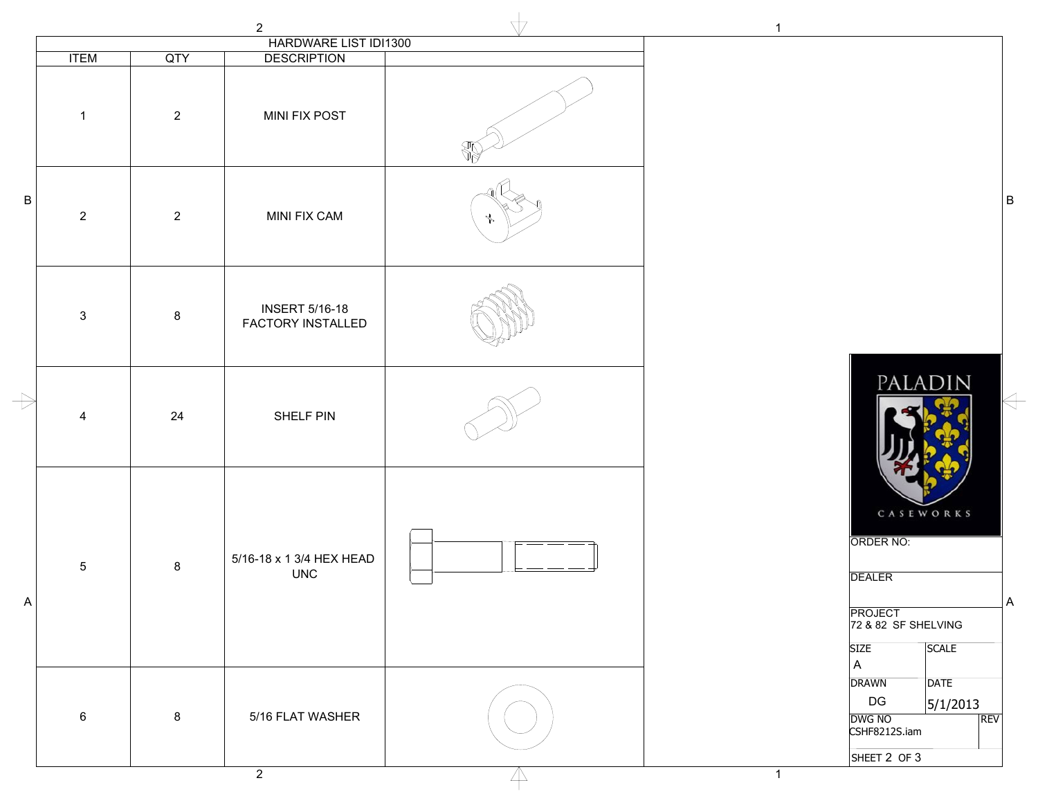|               |                |                | $\overline{2}$                                    | $\sqrt{7}$ | $\mathbf{1}$                                                                                                                          |
|---------------|----------------|----------------|---------------------------------------------------|------------|---------------------------------------------------------------------------------------------------------------------------------------|
|               |                |                | HARDWARE LIST IDI1300                             |            |                                                                                                                                       |
|               | <b>ITEM</b>    | QTY            | <b>DESCRIPTION</b>                                |            |                                                                                                                                       |
|               | $\mathbf{1}$   | $\overline{2}$ | <b>MINI FIX POST</b>                              |            |                                                                                                                                       |
| B             | $\overline{2}$ | $\overline{2}$ | MINI FIX CAM                                      |            | B                                                                                                                                     |
|               | $\mathbf{3}$   | 8              | <b>INSERT 5/16-18</b><br><b>FACTORY INSTALLED</b> |            |                                                                                                                                       |
| $\Rightarrow$ | 4              | 24             | SHELF PIN                                         |            | PALADIN                                                                                                                               |
| $\mathsf{A}$  | $\sqrt{5}$     | 8              | 5/16-18 x 1 3/4 HEX HEAD<br><b>UNC</b>            |            | CASEWORKS<br>ORDER NO:<br><b>DEALER</b><br>JΑ<br><b>PROJECT</b><br>72 & 82 SF SHELVING<br><b>SIZE</b><br><b>SCALE</b><br>$\mathsf{A}$ |
|               | $\,6\,$        | $\bf8$         | 5/16 FLAT WASHER                                  |            | <b>DATE</b><br><b>DRAWN</b><br>DG<br>5/1/2013<br>DWG NO<br>REV<br>CSHF8212S.iam<br>SHEET 2 OF 3                                       |

2

 $\overline{\mathbb{A}}$ 

1

 $\Leftrightarrow$